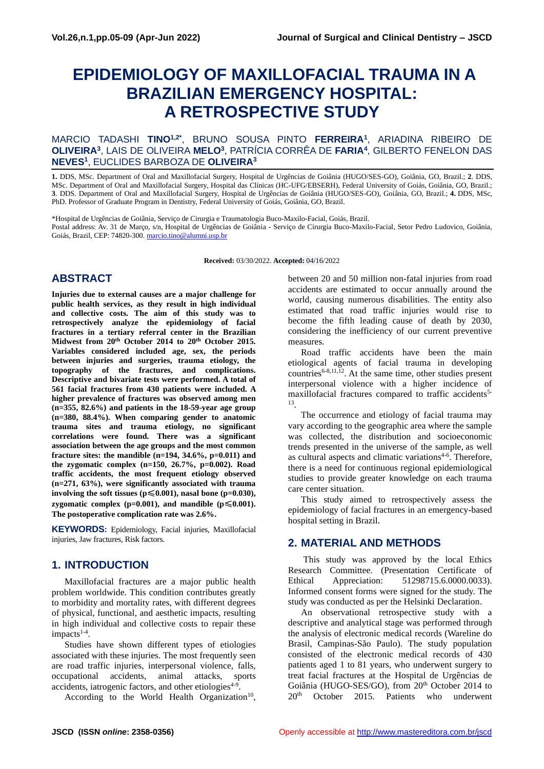# **EPIDEMIOLOGY OF MAXILLOFACIAL TRAUMA IN A BRAZILIAN EMERGENCY HOSPITAL: A RETROSPECTIVE STUDY**

#### MARCIO TADASHI **TINO1,2\*** , BRUNO SOUSA PINTO **FERREIRA<sup>1</sup>** , ARIADINA RIBEIRO DE **OLIVEIRA<sup>3</sup>** , LAIS DE OLIVEIRA **MELO<sup>3</sup>** , PATRÍCIA CORRÊA DE **FARIA<sup>4</sup>** , GILBERTO FENELON DAS **NEVES<sup>1</sup>** , EUCLIDES BARBOZA DE **OLIVEIRA<sup>3</sup>**

**1.** DDS, MSc. Department of Oral and Maxillofacial Surgery, Hospital de Urgências de Goiânia (HUGO/SES-GO), Goiânia, GO, Brazil.; **2**. DDS, MSc. Department of Oral and Maxillofacial Surgery, Hospital das Clínicas (HC-UFG/EBSERH), Federal University of Goiás, Goiânia, GO, Brazil.; **3**. DDS. Department of Oral and Maxillofacial Surgery, Hospital de Urgências de Goiânia (HUGO/SES-GO), Goiânia, GO, Brazil.; **4.** DDS, MSc, PhD. Professor of Graduate Program in Dentistry, Federal University of Goiás, Goiânia, GO, Brazil.

\*Hospital de Urgências de Goiânia, Serviço de Cirurgia e Traumatologia Buco-Maxilo-Facial, Goiás, Brazil. Postal address: Av. 31 de Março, s/n, Hospital de Urgências de Goiânia - Serviço de Cirurgia Buco-Maxilo-Facial, Setor Pedro Ludovico, Goiânia, Goiás, Brazil, CEP: 74820-300. [marcio.tino@alumni.usp.br](mailto:marcio.tino@alumni.usp.br)

**Received:** 03/30/2022. **Accepted:** 04/16/2022

## **ABSTRACT**

**Injuries due to external causes are a major challenge for public health services, as they result in high individual and collective costs. The aim of this study was to retrospectively analyze the epidemiology of facial fractures in a tertiary referral center in the Brazilian Midwest from 20th October 2014 to 20th October 2015. Variables considered included age, sex, the periods between injuries and surgeries, trauma etiology, the topography of the fractures, and complications. Descriptive and bivariate tests were performed. A total of 561 facial fractures from 430 patients were included. A higher prevalence of fractures was observed among men (n=355, 82.6%) and patients in the 18-59-year age group (n=380, 88.4%). When comparing gender to anatomic trauma sites and trauma etiology, no significant correlations were found. There was a significant association between the age groups and the most common fracture sites: the mandible (n=194, 34.6%, p=0.011) and the zygomatic complex (n=150, 26.7%, p=0.002). Road traffic accidents, the most frequent etiology observed (n=271, 63%), were significantly associated with trauma involving the soft tissues (p**≤**0.001), nasal bone (p=0.030), zygomatic complex (p=0.001), and mandible (p** $\leq 0.001$ **). The postoperative complication rate was 2.6%.**

**KEYWORDS:** Epidemiology, Facial injuries, Maxillofacial injuries, Jaw fractures, Risk factors.

## **1. INTRODUCTION**

Maxillofacial fractures are a major public health problem worldwide. This condition contributes greatly to morbidity and mortality rates, with different degrees of physical, functional, and aesthetic impacts, resulting in high individual and collective costs to repair these impacts<sup>1-4</sup>.

Studies have shown different types of etiologies associated with these injuries. The most frequently seen are road traffic injuries, interpersonal violence, falls, occupational accidents, animal attacks, sports accidents, iatrogenic factors, and other etiologies<sup>4-9</sup>.

According to the World Health Organization<sup>10</sup>,

between 20 and 50 million non-fatal injuries from road accidents are estimated to occur annually around the world, causing numerous disabilities. The entity also estimated that road traffic injuries would rise to become the fifth leading cause of death by 2030, considering the inefficiency of our current preventive measures.

Road traffic accidents have been the main etiological agents of facial trauma in developing countries<sup> $6-8,11,12$ </sup>. At the same time, other studies present interpersonal violence with a higher incidence of maxillofacial fractures compared to traffic accidents<sup>5-</sup> 13 .

The occurrence and etiology of facial trauma may vary according to the geographic area where the sample was collected, the distribution and socioeconomic trends presented in the universe of the sample, as well as cultural aspects and climatic variations<sup>4-6</sup>. Therefore, there is a need for continuous regional epidemiological studies to provide greater knowledge on each trauma care center situation.

This study aimed to retrospectively assess the epidemiology of facial fractures in an emergency-based hospital setting in Brazil.

# **2. MATERIAL AND METHODS**

This study was approved by the local Ethics Research Committee. (Presentation Certificate of Ethical Appreciation: 51298715.6.0000.0033). Informed consent forms were signed for the study. The study was conducted as per the Helsinki Declaration.

An observational retrospective study with a descriptive and analytical stage was performed through the analysis of electronic medical records (Wareline do Brasil, Campinas-São Paulo). The study population consisted of the electronic medical records of 430 patients aged 1 to 81 years, who underwent surgery to treat facial fractures at the Hospital de Urgências de Goiânia (HUGO-SES/GO), from 20th October 2014 to 20th October 2015. Patients who underwent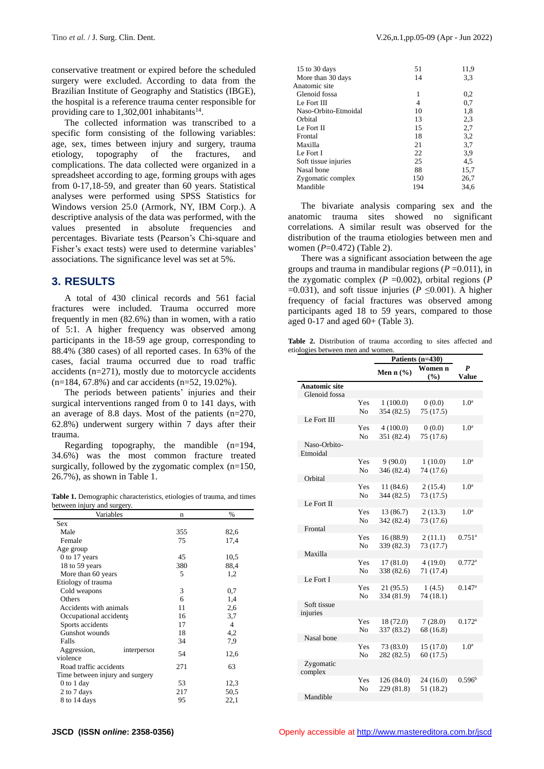conservative treatment or expired before the scheduled surgery were excluded. According to data from the Brazilian Institute of Geography and Statistics (IBGE), the hospital is a reference trauma center responsible for providing care to  $1,302,001$  inhabitants<sup>14</sup>.

The collected information was transcribed to a specific form consisting of the following variables: age, sex, times between injury and surgery, trauma etiology, topography of the fractures, and complications. The data collected were organized in a spreadsheet according to age, forming groups with ages from 0-17,18-59, and greater than 60 years. Statistical analyses were performed using SPSS Statistics for Windows version 25.0 (Armork, NY, IBM Corp.). A descriptive analysis of the data was performed, with the values presented in absolute frequencies and percentages. Bivariate tests (Pearson's Chi-square and Fisher's exact tests) were used to determine variables' associations. The significance level was set at 5%.

#### **3. RESULTS**

A total of 430 clinical records and 561 facial fractures were included. Trauma occurred more frequently in men (82.6%) than in women, with a ratio of 5:1. A higher frequency was observed among participants in the 18-59 age group, corresponding to 88.4% (380 cases) of all reported cases. In 63% of the cases, facial trauma occurred due to road traffic accidents (n=271), mostly due to motorcycle accidents (n=184, 67.8%) and car accidents (n=52, 19.02%).

The periods between patients' injuries and their surgical interventions ranged from 0 to 141 days, with an average of 8.8 days. Most of the patients (n=270, 62.8%) underwent surgery within 7 days after their trauma.

Regarding topography, the mandible (n=194, 34.6%) was the most common fracture treated surgically, followed by the zygomatic complex  $(n=150)$ , 26.7%), as shown in Table 1.

**Table 1.** Demographic characteristics, etiologies of trauma, and times between injury and surgery.

| Variables                       | n   | %    |
|---------------------------------|-----|------|
| Sex                             |     |      |
| Male                            | 355 | 82,6 |
| Female                          | 75  | 17,4 |
| Age group                       |     |      |
| $0$ to 17 years                 | 45  | 10,5 |
| 18 to 59 years                  | 380 | 88,4 |
| More than 60 years              | 5   | 1,2  |
| Etiology of trauma              |     |      |
| Cold weapons                    | 3   | 0,7  |
| Others                          | 6   | 1,4  |
| Accidents with animals          | 11  | 2,6  |
| Occupational accidents          | 16  | 3,7  |
| Sports accidents                | 17  | 4    |
| Gunshot wounds                  | 18  | 4,2  |
| Falls                           | 34  | 7,9  |
| Aggression,<br>interperson      | 54  | 12,6 |
| violence                        |     |      |
| Road traffic accidents          | 271 | 63   |
| Time between injury and surgery |     |      |
| $0$ to $1$ day                  | 53  | 12,3 |
| 2 to 7 days                     | 217 | 50,5 |
| 8 to 14 days                    | 95  | 22,1 |

| 51  | 11,9 |
|-----|------|
| 14  | 3.3  |
|     |      |
| 1   | 0,2  |
| 4   | 0,7  |
| 10  | 1,8  |
| 13  | 2,3  |
| 15  | 2,7  |
| 18  | 3,2  |
| 21  | 3,7  |
| 22  | 3.9  |
| 25  | 4,5  |
| 88  | 15,7 |
| 150 | 26,7 |
| 194 | 34.6 |
|     |      |

The bivariate analysis comparing sex and the anatomic trauma sites showed no significant correlations. A similar result was observed for the distribution of the trauma etiologies between men and women (*P*=0.472) (Table 2).

There was a significant association between the age groups and trauma in mandibular regions  $(P = 0.011)$ , in the zygomatic complex  $(P = 0.002)$ , orbital regions  $(P)$ =0.031), and soft tissue injuries ( $P \le 0.001$ ). A higher frequency of facial fractures was observed among participants aged 18 to 59 years, compared to those aged  $0-17$  and aged  $60+$  (Table 3).

**Table 2.** Distribution of trauma according to sites affected and etiologies between men and women.

|                          |                | Patients (n=430) |           |                      |
|--------------------------|----------------|------------------|-----------|----------------------|
|                          |                |                  | Women n   | $\boldsymbol{P}$     |
|                          |                | Men n $(\% )$    | (%)       | <b>Value</b>         |
| <b>Anatomic site</b>     |                |                  |           |                      |
| Glenoid fossa            |                |                  |           |                      |
|                          | Yes            | 1(100.0)         | 0(0.0)    | 1.0 <sup>a</sup>     |
|                          | N <sub>0</sub> | 354 (82.5)       | 75 (17.5) |                      |
| Le Fort III              |                |                  |           |                      |
|                          | Yes            | 4(100.0)         | 0(0.0)    | 1.0 <sup>a</sup>     |
|                          | N <sub>o</sub> | 351 (82.4)       | 75 (17.6) |                      |
| Naso-Orbito-<br>Etmoidal |                |                  |           |                      |
|                          | Yes            | 9(90.0)          | 1(10.0)   | 1.0 <sup>a</sup>     |
|                          | No             | 346 (82.4)       | 74 (17.6) |                      |
| Orbital                  |                |                  |           |                      |
|                          | Yes            | 11(84.6)         | 2(15.4)   | 1.0 <sup>a</sup>     |
|                          | N <sub>0</sub> | 344 (82.5)       | 73 (17.5) |                      |
| Le Fort II               |                |                  |           |                      |
|                          | Yes            | 13 (86.7)        | 2(13.3)   | 1.0 <sup>a</sup>     |
|                          | N <sub>0</sub> | 342 (82.4)       | 73 (17.6) |                      |
| Frontal                  |                |                  |           |                      |
|                          | Yes            | 16(88.9)         | 2(11.1)   | $0.751$ <sup>a</sup> |
|                          | No             | 339 (82.3)       | 73 (17.7) |                      |
| Maxilla                  |                |                  |           |                      |
|                          | Yes            | 17(81.0)         | 4(19.0)   | $0.772$ <sup>a</sup> |
|                          | No             | 338 (82.6)       | 71 (17.4) |                      |
| Le Fort I                |                |                  |           |                      |
|                          | Yes            | 21(95.5)         | 1(4.5)    | $0.147$ <sup>a</sup> |
|                          | No             | 334 (81.9)       | 74 (18.1) |                      |
| Soft tissue<br>injuries  |                |                  |           |                      |
|                          | Yes            | 18 (72.0)        | 7(28.0)   | $0.172^{a}$          |
|                          | N <sub>o</sub> | 337 (83.2)       | 68 (16.8) |                      |
| Nasal bone               |                |                  |           |                      |
|                          | Yes            | 73 (83.0)        | 15 (17.0) | 1.0 <sup>a</sup>     |
|                          | No             | 282 (82.5)       | 60(17.5)  |                      |
| Zygomatic<br>complex     |                |                  |           |                      |
|                          | Yes            | 126 (84.0)       | 24(16.0)  | 0.596 <sup>b</sup>   |
|                          | No             | 229 (81.8)       | 51 (18.2) |                      |
| Mandible                 |                |                  |           |                      |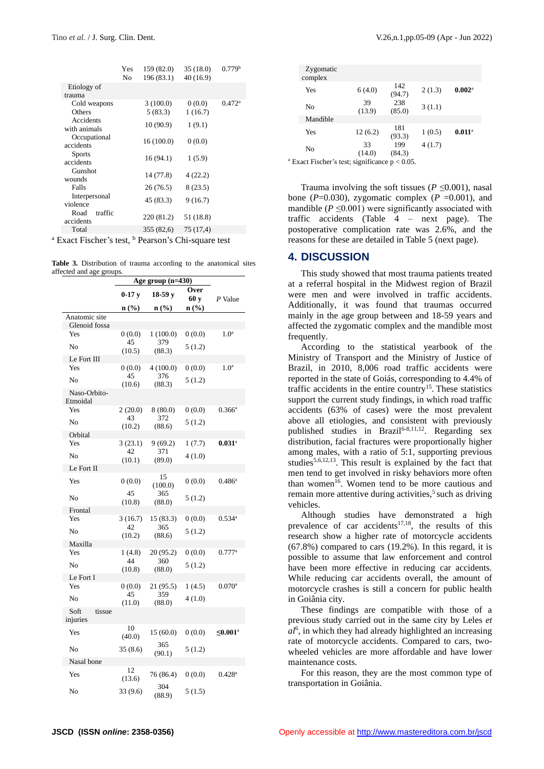|                              | Yes<br>No | 159 (82.0)<br>196 (83.1) | 35(18.0)<br>40 (16.9) | 0.779 <sup>b</sup> |
|------------------------------|-----------|--------------------------|-----------------------|--------------------|
| Etiology of<br>trauma        |           |                          |                       |                    |
| Cold weapons<br>Others       |           | 3(100.0)<br>5(83.3)      | 0(0.0)<br>1(16.7)     | $0.472^{\rm a}$    |
| Accidents<br>with animals    |           | 10(90.9)                 | 1(9.1)                |                    |
| Occupational<br>accidents    |           | 16(100.0)                | 0(0.0)                |                    |
| <b>Sports</b><br>accidents   |           | 16(94.1)                 | 1(5.9)                |                    |
| Gunshot<br>wounds            |           | 14 (77.8)                | 4(22.2)               |                    |
| Falls                        |           | 26 (76.5)                | 8(23.5)               |                    |
| Interpersonal<br>violence    |           | 45 (83.3)                | 9(16.7)               |                    |
| traffic<br>Road<br>accidents |           | 220 (81.2)               | 51 (18.8)             |                    |
| Total                        |           | 355 (82,6)               | 75 (17.4)             |                    |
|                              | $\sim$    |                          |                       |                    |

 $a$  Exact Fischer's test,  $b$  Pearson's Chi-square test

**Table 3.** Distribution of trauma according to the anatomical sites affected and age groups.

|                                | Age group $(n=430)$  |                  |              |                      |  |  |
|--------------------------------|----------------------|------------------|--------------|----------------------|--|--|
|                                | $0-17$ v<br>$18-59y$ |                  | Over<br>60 y | P Value              |  |  |
|                                | $\mathbf{n}(\%)$     | $\mathbf{n}(\%)$ | n(%)         |                      |  |  |
| Anatomic site<br>Glenoid fossa |                      |                  |              |                      |  |  |
| Yes                            | 0(0.0)               | 1(100.0)         | 0(0.0)       | 1.0 <sup>a</sup>     |  |  |
| No                             | 45<br>(10.5)         | 379<br>(88.3)    | 5(1.2)       |                      |  |  |
| Le Fort III                    |                      |                  |              |                      |  |  |
| Yes                            | 0(0.0)               | 4(100.0)         | 0(0.0)       | $1.0^{\rm a}$        |  |  |
| No                             | 45<br>(10.6)         | 376<br>(88.3)    | 5(1.2)       |                      |  |  |
| Naso-Orbito-<br>Etmoidal       |                      |                  |              |                      |  |  |
| Yes                            | 2(20.0)              | 8(80.0)          | 0(0.0)       | $0.366^{\rm a}$      |  |  |
| No                             | 43<br>(10.2)         | 372<br>(88.6)    | 5(1.2)       |                      |  |  |
| Orbital                        |                      |                  |              |                      |  |  |
| Yes                            | 3(23.1)              | 9(69.2)          | 1(7.7)       | $0.031$ <sup>a</sup> |  |  |
| No                             | 42<br>(10.1)         | 371<br>(89.0)    | 4(1.0)       |                      |  |  |
| Le Fort II                     |                      |                  |              |                      |  |  |
| Yes                            | 0(0.0)               | 15<br>(100.0)    | 0(0.0)       | $0.486^a$            |  |  |
| No                             | 45<br>(10.8)         | 365<br>(88.0)    | 5(1.2)       |                      |  |  |
| Frontal                        |                      |                  |              |                      |  |  |
| Yes                            | 3(16.7)              | 15 (83.3)        | 0(0.0)       | $0.534^{\circ}$      |  |  |
| No                             | 42<br>(10.2)         | 365<br>(88.6)    | 5(1.2)       |                      |  |  |
| Maxilla                        |                      |                  |              |                      |  |  |
| Yes                            | 1(4.8)               | 20 (95.2)        | 0(0.0)       | $0.777$ <sup>a</sup> |  |  |
| No                             | 44<br>(10.8)         | 360<br>(88.0)    | 5(1.2)       |                      |  |  |
| Le Fort I                      |                      |                  |              |                      |  |  |
| Yes                            | 0(0.0)               | 21 (95.5)        | 1(4.5)       | $0.070$ <sup>a</sup> |  |  |
| No                             | 45<br>(11.0)         | 359<br>(88.0)    | 4(1.0)       |                      |  |  |
| Soft<br>tissue<br>injuries     |                      |                  |              |                      |  |  |
| Yes                            | 10<br>(40.0)         | 15 (60.0)        | 0(0.0)       | ≤0.001 <sup>a</sup>  |  |  |
| No                             | 35(8.6)              | 365<br>(90.1)    | 5(1.2)       |                      |  |  |
| Nasal bone                     |                      |                  |              |                      |  |  |
| Yes                            | 12<br>(13.6)         | 76 (86.4)        | 0(0.0)       | $0.428$ <sup>a</sup> |  |  |
| No                             | 33(9.6)              | 304<br>(88.9)    | 5(1.5)       |                      |  |  |

| Zygomatic<br>complex                                         |              |               |        |                      |
|--------------------------------------------------------------|--------------|---------------|--------|----------------------|
| Yes                                                          | 6(4.0)       | 142<br>(94.7) | 2(1.3) | $0.002$ <sup>a</sup> |
| No                                                           | 39<br>(13.9) | 238<br>(85.0) | 3(1.1) |                      |
| Mandible                                                     |              |               |        |                      |
| Yes                                                          | 12(6.2)      | 181<br>(93.3) | 1(0.5) | $0.011^{\rm a}$      |
| No                                                           | 33<br>(14.0) | 199<br>(84.3) | 4(1.7) |                      |
| <sup>a</sup> Exact Fischer's test; significance $p < 0.05$ . |              |               |        |                      |

Trauma involving the soft tissues ( $P \le 0.001$ ), nasal bone ( $P=0.030$ ), zygomatic complex ( $P=0.001$ ), and mandible  $(P \leq 0.001)$  were significantly associated with traffic accidents (Table 4 – next page). The postoperative complication rate was 2.6%, and the reasons for these are detailed in Table 5 (next page).

#### **4. DISCUSSION**

This study showed that most trauma patients treated at a referral hospital in the Midwest region of Brazil were men and were involved in traffic accidents. Additionally, it was found that traumas occurred mainly in the age group between and 18-59 years and affected the zygomatic complex and the mandible most frequently.

According to the statistical yearbook of the Ministry of Transport and the Ministry of Justice of Brazil, in 2010, 8,006 road traffic accidents were reported in the state of Goiás, corresponding to 4.4% of traffic accidents in the entire country<sup>15</sup>. These statistics support the current study findings, in which road traffic accidents (63% of cases) were the most prevalent above all etiologies, and consistent with previously published studies in Brazil<sup>6-8,11,12</sup>. Regarding sex distribution, facial fractures were proportionally higher among males, with a ratio of 5:1, supporting previous studies<sup>5,6,12,13</sup>. This result is explained by the fact that men tend to get involved in risky behaviors more often than women<sup>16</sup>. Women tend to be more cautious and remain more attentive during activities, $5$  such as driving vehicles.

Although studies have demonstrated a high prevalence of car accidents<sup>17,18</sup>, the results of this research show a higher rate of motorcycle accidents (67.8%) compared to cars (19.2%). In this regard, it is possible to assume that law enforcement and control have been more effective in reducing car accidents. While reducing car accidents overall, the amount of motorcycle crashes is still a concern for public health in Goiânia city.

These findings are compatible with those of a previous study carried out in the same city by Leles *et al*<sup>6</sup> , in which they had already highlighted an increasing rate of motorcycle accidents. Compared to cars, twowheeled vehicles are more affordable and have lower maintenance costs.

For this reason, they are the most common type of transportation in Goiânia.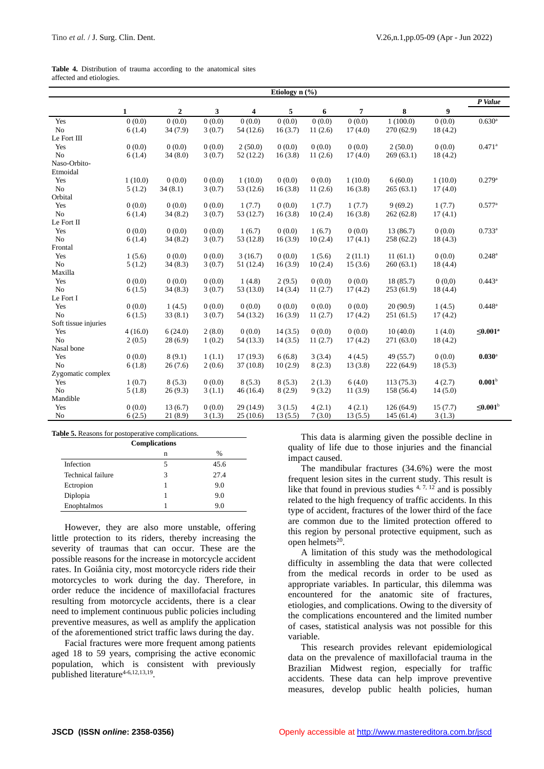| <b>Table 4.</b> Distribution of trauma according to the anatomical sites |  |  |  |  |
|--------------------------------------------------------------------------|--|--|--|--|
| affected and etiologies.                                                 |  |  |  |  |

|                      | Etiology n (%) |              |        |           |         |         |                |            |         |                       |
|----------------------|----------------|--------------|--------|-----------|---------|---------|----------------|------------|---------|-----------------------|
|                      |                |              |        |           |         |         |                | P Value    |         |                       |
|                      | $\mathbf{1}$   | $\mathbf{2}$ | 3      | 4         | 5       | 6       | $\overline{7}$ | 8          | 9       |                       |
| Yes                  | 0(0.0)         | 0(0.0)       | 0(0.0) | 0(0.0)    | 0(0.0)  | 0(0.0)  | 0(0.0)         | 1(100.0)   | 0(0.0)  | 0.630 <sup>a</sup>    |
| No                   | 6(1.4)         | 34(7.9)      | 3(0.7) | 54(12.6)  | 16(3.7) | 11(2.6) | 17(4.0)        | 270 (62.9) | 18(4.2) |                       |
| Le Fort III          |                |              |        |           |         |         |                |            |         |                       |
| Yes                  | 0(0.0)         | 0(0.0)       | 0(0.0) | 2(50.0)   | 0(0.0)  | 0(0.0)  | 0(0.0)         | 2(50.0)    | 0(0.0)  | $0.471$ <sup>a</sup>  |
| N <sub>o</sub>       | 6(1.4)         | 34(8.0)      | 3(0.7) | 52(12.2)  | 16(3.8) | 11(2.6) | 17(4.0)        | 269(63.1)  | 18(4.2) |                       |
| Naso-Orbito-         |                |              |        |           |         |         |                |            |         |                       |
| Etmoidal             |                |              |        |           |         |         |                |            |         |                       |
| Yes                  | 1(10.0)        | 0(0.0)       | 0(0.0) | 1(10.0)   | 0(0.0)  | 0(0.0)  | 1(10.0)        | 6(60.0)    | 1(10.0) | 0.279a                |
| No                   | 5(1.2)         | 34(8.1)      | 3(0.7) | 53 (12.6) | 16(3.8) | 11(2.6) | 16(3.8)        | 265(63.1)  | 17(4.0) |                       |
| Orbital              |                |              |        |           |         |         |                |            |         |                       |
| Yes                  | 0(0.0)         | 0(0.0)       | 0(0.0) | 1(7.7)    | 0(0.0)  | 1(7.7)  | 1(7.7)         | 9(69.2)    | 1(7.7)  | $0.577$ <sup>a</sup>  |
| No                   | 6(1.4)         | 34(8.2)      | 3(0.7) | 53 (12.7) | 16(3.8) | 10(2.4) | 16(3.8)        | 262(62.8)  | 17(4.1) |                       |
| Le Fort II           |                |              |        |           |         |         |                |            |         |                       |
| Yes                  | 0(0.0)         | 0(0.0)       | 0(0.0) | 1(6.7)    | 0(0.0)  | 1(6.7)  | 0(0.0)         | 13(86.7)   | 0(0.0)  | $0.733^{a}$           |
| No                   | 6(1.4)         | 34(8.2)      | 3(0.7) | 53 (12.8) | 16(3.9) | 10(2.4) | 17(4.1)        | 258 (62.2) | 18(4.3) |                       |
| Frontal              |                |              |        |           |         |         |                |            |         |                       |
| Yes                  | 1(5.6)         | 0(0.0)       | 0(0.0) | 3(16.7)   | 0(0.0)  | 1(5.6)  | 2(11.1)        | 11(61.1)   | 0(0.0)  | $0.248^{\rm a}$       |
| No                   | 5(1.2)         | 34(8.3)      | 3(0.7) | 51 (12.4) | 16(3.9) | 10(2.4) | 15(3.6)        | 260(63.1)  | 18(4.4) |                       |
| Maxilla              |                |              |        |           |         |         |                |            |         |                       |
| Yes                  | 0(0.0)         | 0(0.0)       | 0(0.0) | 1(4.8)    | 2(9.5)  | 0(0.0)  | 0(0.0)         | 18(85.7)   | 0(0,0)  | $0.443^a$             |
| N <sub>o</sub>       | 6(1.5)         | 34(8.3)      | 3(0.7) | 53 (13.0) | 14(3.4) | 11(2.7) | 17(4.2)        | 253(61.9)  | 18(4.4) |                       |
| Le Fort I            |                |              |        |           |         |         |                |            |         |                       |
| Yes                  | 0(0.0)         | 1(4.5)       | 0(0.0) | 0(0.0)    | 0(0.0)  | 0(0.0)  | 0(0.0)         | 20(90.9)   | 1(4.5)  | $0.448^a$             |
| No                   | 6(1.5)         | 33(8.1)      | 3(0.7) | 54 (13.2) | 16(3.9) | 11(2.7) | 17(4.2)        | 251(61.5)  | 17(4.2) |                       |
| Soft tissue injuries |                |              |        |           |         |         |                |            |         |                       |
| Yes                  | 4(16.0)        | 6(24.0)      | 2(8.0) | 0(0.0)    | 14(3.5) | 0(0.0)  | 0(0.0)         | 10(40.0)   | 1(4.0)  | ≤0.001 <sup>a</sup>   |
| N <sub>o</sub>       | 2(0.5)         | 28(6.9)      | 1(0.2) | 54 (13.3) | 14(3.5) | 11(2.7) | 17(4.2)        | 271(63.0)  | 18(4.2) |                       |
| Nasal bone           |                |              |        |           |         |         |                |            |         |                       |
| Yes                  | 0(0.0)         | 8(9.1)       | 1(1.1) | 17(19.3)  | 6(6.8)  | 3(3.4)  | 4(4.5)         | 49 (55.7)  | 0(0.0)  | $0.030$ <sup>a</sup>  |
| N <sub>o</sub>       | 6(1.8)         | 26(7.6)      | 2(0.6) | 37(10.8)  | 10(2.9) | 8(2.3)  | 13(3.8)        | 222 (64.9) | 18(5.3) |                       |
| Zygomatic complex    |                |              |        |           |         |         |                |            |         |                       |
| Yes                  | 1(0.7)         | 8(5.3)       | 0(0.0) | 8(5.3)    | 8(5.3)  | 2(1.3)  | 6(4.0)         | 113(75.3)  | 4(2.7)  | 0.001 <sup>b</sup>    |
| No                   | 5(1.8)         | 26(9.3)      | 3(1.1) | 46(16.4)  | 8(2.9)  | 9(3.2)  | 11(3.9)        | 158 (56.4) | 14(5.0) |                       |
| Mandible             |                |              |        |           |         |         |                |            |         |                       |
| Yes                  | 0(0.0)         | 13(6.7)      | 0(0.0) | 29 (14.9) | 3(1.5)  | 4(2.1)  | 4(2.1)         | 126(64.9)  | 15(7.7) | $≤0.001$ <sup>b</sup> |
| No                   | 6(2.5)         | 21(8.9)      | 3(1.3) | 25(10.6)  | 13(5.5) | 7(3.0)  | 13(5.5)        | 145(61.4)  | 3(1.3)  |                       |

|                   | <b>Complications</b> |               |
|-------------------|----------------------|---------------|
|                   | n                    | $\frac{0}{0}$ |
| Infection         | 5                    | 45.6          |
| Technical failure | 3                    | 27.4          |
| Ectropion         |                      | 9.0           |
| Diplopia          |                      | 9.0           |
| Enophtalmos       |                      | 9.0           |

However, they are also more unstable, offering little protection to its riders, thereby increasing the severity of traumas that can occur. These are the possible reasons for the increase in motorcycle accident rates. In Goiânia city, most motorcycle riders ride their motorcycles to work during the day. Therefore, in order reduce the incidence of maxillofacial fractures resulting from motorcycle accidents, there is a clear need to implement continuous public policies including preventive measures, as well as amplify the application of the aforementioned strict traffic laws during the day.

Facial fractures were more frequent among patients aged 18 to 59 years, comprising the active economic population, which is consistent with previously published literature<sup>4-6,12,13,19</sup>.

This data is alarming given the possible decline in quality of life due to those injuries and the financial impact caused.

The mandibular fractures (34.6%) were the most frequent lesion sites in the current study. This result is like that found in previous studies  $4, 7, 12$  and is possibly related to the high frequency of traffic accidents. In this type of accident, fractures of the lower third of the face are common due to the limited protection offered to this region by personal protective equipment, such as open helmets<sup>20</sup>.

A limitation of this study was the methodological difficulty in assembling the data that were collected from the medical records in order to be used as appropriate variables. In particular, this dilemma was encountered for the anatomic site of fractures, etiologies, and complications. Owing to the diversity of the complications encountered and the limited number of cases, statistical analysis was not possible for this variable.

This research provides relevant epidemiological data on the prevalence of maxillofacial trauma in the Brazilian Midwest region, especially for traffic accidents. These data can help improve preventive measures, develop public health policies, human